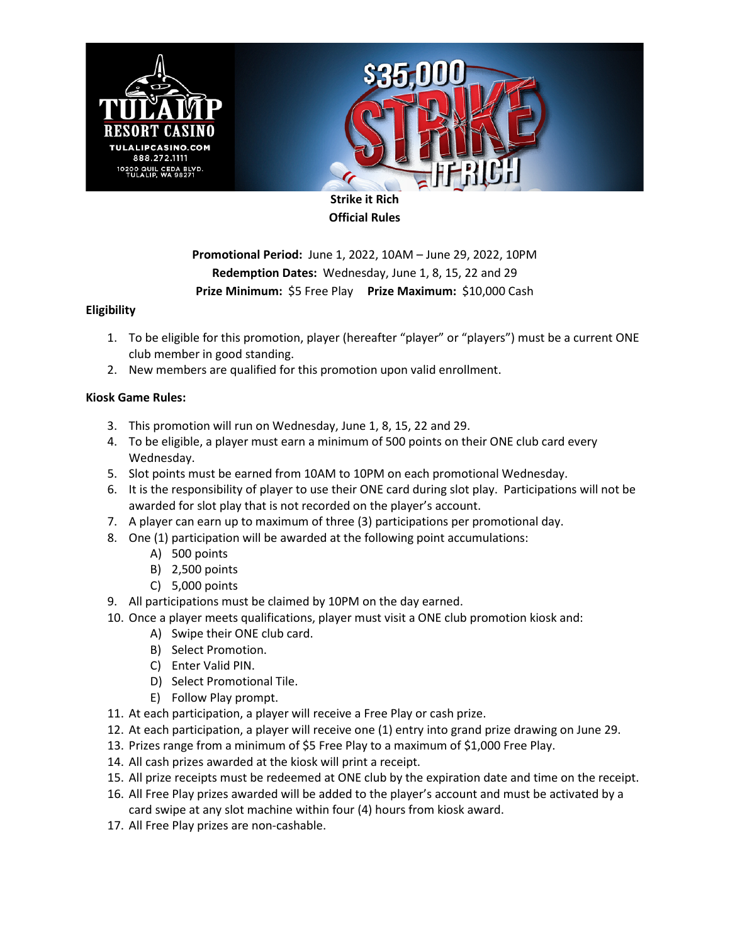



**Strike it Rich Official Rules**

**Promotional Period:** June 1, 2022, 10AM – June 29, 2022, 10PM **Redemption Dates:** Wednesday, June 1, 8, 15, 22 and 29 **Prize Minimum:** \$5 Free Play **Prize Maximum:** \$10,000 Cash

## **Eligibility**

- 1. To be eligible for this promotion, player (hereafter "player" or "players") must be a current ONE club member in good standing.
- 2. New members are qualified for this promotion upon valid enrollment.

## **Kiosk Game Rules:**

- 3. This promotion will run on Wednesday, June 1, 8, 15, 22 and 29.
- 4. To be eligible, a player must earn a minimum of 500 points on their ONE club card every Wednesday.
- 5. Slot points must be earned from 10AM to 10PM on each promotional Wednesday.
- 6. It is the responsibility of player to use their ONE card during slot play. Participations will not be awarded for slot play that is not recorded on the player's account.
- 7. A player can earn up to maximum of three (3) participations per promotional day.
- 8. One (1) participation will be awarded at the following point accumulations:
	- A) 500 points
	- B) 2,500 points
	- C) 5,000 points
- 9. All participations must be claimed by 10PM on the day earned.
- 10. Once a player meets qualifications, player must visit a ONE club promotion kiosk and:
	- A) Swipe their ONE club card.
	- B) Select Promotion.
	- C) Enter Valid PIN.
	- D) Select Promotional Tile.
	- E) Follow Play prompt.
- 11. At each participation, a player will receive a Free Play or cash prize.
- 12. At each participation, a player will receive one (1) entry into grand prize drawing on June 29.
- 13. Prizes range from a minimum of \$5 Free Play to a maximum of \$1,000 Free Play.
- 14. All cash prizes awarded at the kiosk will print a receipt.
- 15. All prize receipts must be redeemed at ONE club by the expiration date and time on the receipt.
- 16. All Free Play prizes awarded will be added to the player's account and must be activated by a card swipe at any slot machine within four (4) hours from kiosk award.
- 17. All Free Play prizes are non-cashable.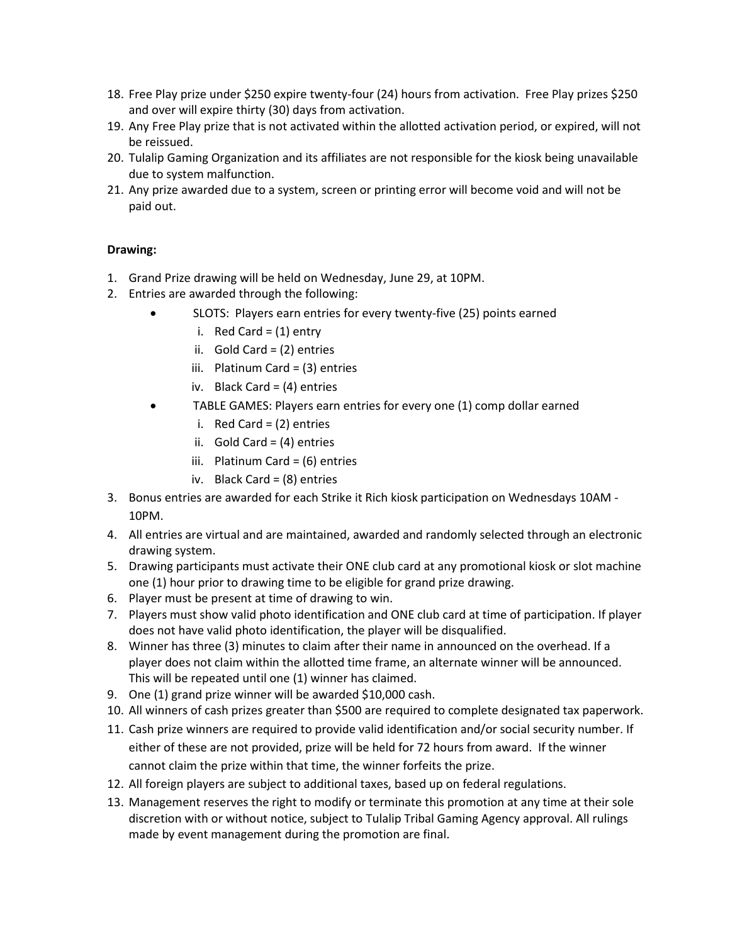- 18. Free Play prize under \$250 expire twenty-four (24) hours from activation. Free Play prizes \$250 and over will expire thirty (30) days from activation.
- 19. Any Free Play prize that is not activated within the allotted activation period, or expired, will not be reissued.
- 20. Tulalip Gaming Organization and its affiliates are not responsible for the kiosk being unavailable due to system malfunction.
- 21. Any prize awarded due to a system, screen or printing error will become void and will not be paid out.

## **Drawing:**

- 1. Grand Prize drawing will be held on Wednesday, June 29, at 10PM.
- 2. Entries are awarded through the following:
	- SLOTS: Players earn entries for every twenty-five (25) points earned
		- i. Red Card =  $(1)$  entry
		- ii. Gold Card = (2) entries
		- iii. Platinum Card = (3) entries
		- iv. Black Card = (4) entries
	- TABLE GAMES: Players earn entries for every one (1) comp dollar earned
		- i. Red Card = (2) entries
		- ii. Gold Card =  $(4)$  entries
		- iii. Platinum Card = (6) entries
		- iv. Black Card = (8) entries
- 3. Bonus entries are awarded for each Strike it Rich kiosk participation on Wednesdays 10AM 10PM.
- 4. All entries are virtual and are maintained, awarded and randomly selected through an electronic drawing system.
- 5. Drawing participants must activate their ONE club card at any promotional kiosk or slot machine one (1) hour prior to drawing time to be eligible for grand prize drawing.
- 6. Player must be present at time of drawing to win.
- 7. Players must show valid photo identification and ONE club card at time of participation. If player does not have valid photo identification, the player will be disqualified.
- 8. Winner has three (3) minutes to claim after their name in announced on the overhead. If a player does not claim within the allotted time frame, an alternate winner will be announced. This will be repeated until one (1) winner has claimed.
- 9. One (1) grand prize winner will be awarded \$10,000 cash.
- 10. All winners of cash prizes greater than \$500 are required to complete designated tax paperwork.
- 11. Cash prize winners are required to provide valid identification and/or social security number. If either of these are not provided, prize will be held for 72 hours from award. If the winner cannot claim the prize within that time, the winner forfeits the prize.
- 12. All foreign players are subject to additional taxes, based up on federal regulations.
- 13. Management reserves the right to modify or terminate this promotion at any time at their sole discretion with or without notice, subject to Tulalip Tribal Gaming Agency approval. All rulings made by event management during the promotion are final.